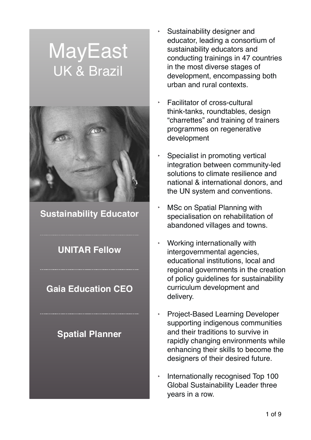# MayEast UK & Brazil



**Sustainability Educator**

#### **UNITAR Fellow**

#### **Gaia Education CEO**

#### **Spatial Planner**

- Sustainability designer and educator, leading a consortium of sustainability educators and conducting trainings in 47 countries in the most diverse stages of development, encompassing both urban and rural contexts.
- ‣ Facilitator of cross-cultural think-tanks, roundtables, design "charrettes" and training of trainers programmes on regenerative development
- Specialist in promoting vertical integration between community-led solutions to climate resilience and national & international donors, and the UN system and conventions.
- **MSc on Spatial Planning with** specialisation on rehabilitation of abandoned villages and towns.
- ‣ Working internationally with intergovernmental agencies, educational institutions, local and regional governments in the creation of policy guidelines for sustainability curriculum development and delivery.
- ‣ Project-Based Learning Developer supporting indigenous communities and their traditions to survive in rapidly changing environments while enhancing their skills to become the designers of their desired future.
- Internationally recognised Top 100 Global Sustainability Leader three years in a row.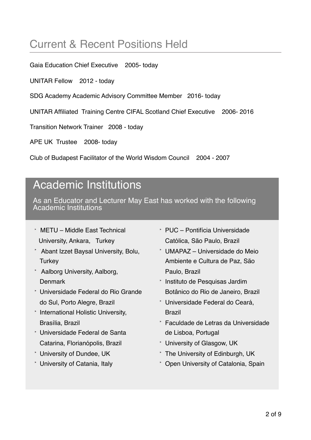## Current & Recent Positions Held

Gaia Education Chief Executive 2005- today

UNITAR Fellow 2012 - today

SDG Academy Academic Advisory Committee Member 2016- today

UNITAR Affiliated Training Centre CIFAL Scotland Chief Executive 2006- 2016 Ĩ

Transition Network Trainer 2008 - today

APE UK Trustee 2008- today

Club of Budapest Facilitator of the World Wisdom Council 2004 - 2007

### Academic Institutions

As an Educator and Lecturer May East has worked with the following Academic Institutions

- ‣ METU Middle East Technical University, Ankara, Turkey
- ‣ Abant Izzet Baysal University, Bolu, **Turkey**
- ‣ Aalborg University, Aalborg, **Denmark**
- ‣ Universidade Federal do Rio Grande do Sul, Porto Alegre, Brazil
- ‣ International Holistic University, Brasília, Brazil
- ‣ Universidade Federal de Santa Catarina, Florianópolis, Brazil
- ‣ University of Dundee, UK
- ‣ University of Catania, Italy
- ‣ PUC Pontifícia Universidade Católica, São Paulo, Brazil
- ‣ UMAPAZ Universidade do Meio Ambiente e Cultura de Paz, São Paulo, Brazil
- ‣ Instituto de Pesquisas Jardim Botânico do Rio de Janeiro, Brazil
- ‣ Universidade Federal do Ceará, Brazil
- ‣ Faculdade de Letras da Universidade de Lisboa, Portugal
- ‣ University of Glasgow, UK
- ‣ The University of Edinburgh, UK
- ‣ Open University of Catalonia, Spain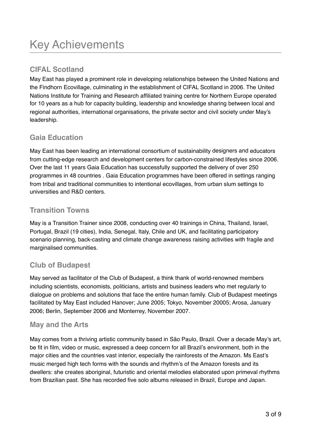#### **CIFAL Scotland**

May East has played a prominent role in developing relationships between the United Nations and the Findhorn Ecovillage, culminating in the establishment of CIFAL Scotland in 2006. The United Nations Institute for Training and Research affiliated training centre for Northern Europe operated for 10 years as a hub for capacity building, leadership and knowledge sharing between local and regional authorities, international organisations, the private sector and civil society under May's leadership.

#### **Gaia Education**

May East has been leading an international consortium of sustainability designers and educators from cutting-edge research and development centers for carbon-constrained lifestyles since 2006. Over the last 11 years Gaia Education has successfully supported the delivery of over 250 programmes in 48 countries . Gaia Education programmes have been offered in settings ranging from tribal and traditional communities to intentional ecovillages, from urban slum settings to universities and R&D centers.

#### **Transition Towns**

May is a Transition Trainer since 2008, conducting over 40 trainings in China, Thailand, Israel, Portugal, Brazil (19 cities), India, Senegal, Italy, Chile and UK, and facilitating participatory scenario planning, back-casting and climate change awareness raising activities with fragile and marginalised communities.

#### **Club of Budapest**

May served as facilitator of the Club of Budapest, a think thank of world-renowned members including scientists, economists, politicians, artists and business leaders who met regularly to dialogue on problems and solutions that face the entire human family. Club of Budapest meetings facilitated by May East included Hanover; June 2005; Tokyo, November 20005; Arosa, January 2006; Berlin, September 2006 and Monterrey, November 2007.

#### **May and the Arts**

May comes from a thriving artistic community based in São Paulo, Brazil. Over a decade May's art, be fit in film, video or music, expressed a deep concern for all Brazil's environment, both in the major cities and the countries vast interior, especially the rainforests of the Amazon. Ms East's music merged high tech forms with the sounds and rhythm's of the Amazon forests and its dwellers: she creates aboriginal, futuristic and oriental melodies elaborated upon primeval rhythms from Brazilian past. She has recorded five solo albums released in Brazil, Europe and Japan.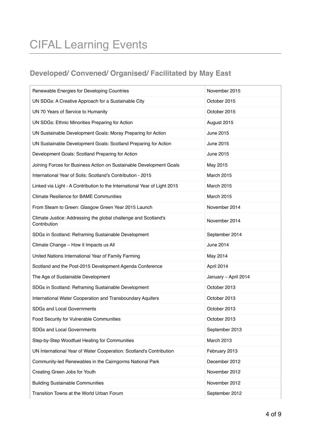## CIFAL Learning Events

#### **Developed/ Convened/ Organised/ Facilitated by May East**

| Renewable Energies for Developing Countries                                     | November 2015        |
|---------------------------------------------------------------------------------|----------------------|
| UN SDGs: A Creative Approach for a Sustainable City                             | October 2015         |
| UN 70 Years of Service to Humanity                                              | October 2015         |
| UN SDGs: Ethnic Minorities Preparing for Action                                 | August 2015          |
| UN Sustainable Development Goals: Moray Preparing for Action                    | June 2015            |
| UN Sustainable Development Goals: Scotland Preparing for Action                 | June 2015            |
| Development Goals: Scotland Preparing for Action                                | June 2015            |
| Joining Forces for Business Action on Sustainable Development Goals             | May 2015             |
| International Year of Soils: Scotland's Contribution - 2015                     | March 2015           |
| Linked via Light - A Contribution to the International Year of Light 2015       | March 2015           |
| <b>Climate Resilience for BAME Communities</b>                                  | March 2015           |
| From Steam to Green: Glasgow Green Year 2015 Launch                             | November 2014        |
| Climate Justice: Addressing the global challenge and Scotland's<br>Contribution | November 2014        |
| SDGs in Scotland: Reframing Sustainable Development                             | September 2014       |
| Climate Change - How it Impacts us All                                          | June 2014            |
| United Nations International Year of Family Farming                             | May 2014             |
| Scotland and the Post-2015 Development Agenda Conference                        | April 2014           |
| The Age of Sustainable Development                                              | January - April 2014 |
| SDGs in Scotland: Reframing Sustainable Development                             | October 2013         |
| International Water Cooperation and Transboundary Aquifers                      | October 2013         |
| SDGs and Local Governments                                                      | October 2013         |
| Food Security for Vulnerable Communities                                        | October 2013         |
| SDGs and Local Governments                                                      | September 2013       |
| Step-by-Step Woodfuel Heating for Communities                                   | March 2013           |
| UN International Year of Water Cooperation: Scotland's Contribution             | February 2013        |
| Community-led Renewables in the Cairngorms National Park                        | December 2012        |
| Creating Green Jobs for Youth                                                   | November 2012        |
| <b>Building Sustainable Communities</b>                                         | November 2012        |
| Transition Towns at the World Urban Forum                                       | September 2012       |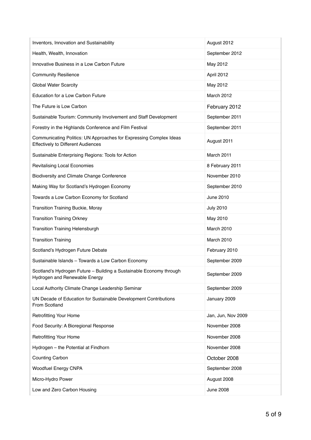| Inventors, Innovation and Sustainability                                                                        | August 2012        |
|-----------------------------------------------------------------------------------------------------------------|--------------------|
| Health, Wealth, Innovation                                                                                      | September 2012     |
| Innovative Business in a Low Carbon Future                                                                      | May 2012           |
| <b>Community Resilience</b>                                                                                     | April 2012         |
| <b>Global Water Scarcity</b>                                                                                    | May 2012           |
| Education for a Low Carbon Future                                                                               | March 2012         |
| The Future is Low Carbon                                                                                        | February 2012      |
| Sustainable Tourism: Community Involvement and Staff Development                                                | September 2011     |
| Forestry in the Highlands Conference and Film Festival                                                          | September 2011     |
| Communicating Politics: UN Approaches for Expressing Complex Ideas<br><b>Effectively to Different Audiences</b> | August 2011        |
| Sustainable Enterprising Regions: Tools for Action                                                              | March 2011         |
| <b>Revitalising Local Economies</b>                                                                             | 8 February 2011    |
| Biodiversity and Climate Change Conference                                                                      | November 2010      |
| Making Way for Scotland's Hydrogen Economy                                                                      | September 2010     |
| Towards a Low Carbon Economy for Scotland                                                                       | June 2010          |
| Transition Training Buckie, Moray                                                                               | <b>July 2010</b>   |
| <b>Transition Training Orkney</b>                                                                               | May 2010           |
| <b>Transition Training Helensburgh</b>                                                                          | March 2010         |
| <b>Transition Training</b>                                                                                      | March 2010         |
| Scotland's Hydrogen Future Debate                                                                               | February 2010      |
| Sustainable Islands - Towards a Low Carbon Economy                                                              | September 2009     |
| Scotland's Hydrogen Future – Building a Sustainable Economy through<br>Hydrogen and Renewable Energy            | September 2009     |
| Local Authority Climate Change Leadership Seminar                                                               | September 2009     |
| UN Decade of Education for Sustainable Development Contributions<br>From Scotland                               | January 2009       |
| <b>Retrofitting Your Home</b>                                                                                   | Jan, Jun, Nov 2009 |
| Food Security: A Bioregional Response                                                                           | November 2008      |
| <b>Retrofitting Your Home</b>                                                                                   | November 2008      |
| Hydrogen - the Potential at Findhorn                                                                            | November 2008      |
| <b>Counting Carbon</b>                                                                                          | October 2008       |
| <b>Woodfuel Energy CNPA</b>                                                                                     | September 2008     |
| Micro-Hydro Power                                                                                               | August 2008        |
| Low and Zero Carbon Housing                                                                                     | <b>June 2008</b>   |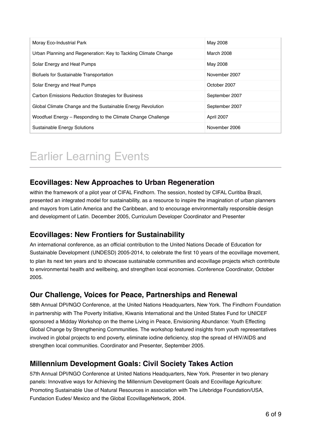| Moray Eco-Industrial Park                                       | May 2008       |
|-----------------------------------------------------------------|----------------|
| Urban Planning and Regeneration: Key to Tackling Climate Change | March 2008     |
| Solar Energy and Heat Pumps                                     | May 2008       |
| <b>Biofuels for Sustainable Transportation</b>                  | November 2007  |
| Solar Energy and Heat Pumps                                     | October 2007   |
| <b>Carbon Emissions Reduction Strategies for Business</b>       | September 2007 |
| Global Climate Change and the Sustainable Energy Revolution     | September 2007 |
| Woodfuel Energy - Responding to the Climate Change Challenge    | April 2007     |
| <b>Sustainable Energy Solutions</b>                             | November 2006  |

## Earlier Learning Events

#### **Ecovillages: New Approaches to Urban Regeneration**

within the framework of a pilot year of CIFAL Findhorn. The session, hosted by CIFAL Curitiba Brazil, presented an integrated model for sustainability, as a resource to inspire the imagination of urban planners and mayors from Latin America and the Caribbean, and to encourage environmentally responsible design and development of Latin. December 2005, Curriculum Developer Coordinator and Presenter

#### **Ecovillages: New Frontiers for Sustainability**

An international conference, as an official contribution to the United Nations Decade of Education for Sustainable Development (UNDESD) 2005-2014, to celebrate the first 10 years of the ecovillage movement, to plan its next ten years and to showcase sustainable communities and ecovillage projects which contribute to environmental health and wellbeing, and strengthen local economies. Conference Coordinator, October 2005.

#### **Our Challenge, Voices for Peace, Partnerships and Renewal**

58th Annual DPI/NGO Conference, at the United Nations Headquarters, New York. The Findhorn Foundation in partnership with The Poverty Initiative, Kiwanis International and the United States Fund for UNICEF sponsored a Midday Workshop on the theme Living in Peace, Envisioning Abundance: Youth Effecting Global Change by Strengthening Communities. The workshop featured insights from youth representatives involved in global projects to end poverty, eliminate iodine deficiency, stop the spread of HIV/AIDS and strengthen local communities. Coordinator and Presenter, September 2005.

#### **Millennium Development Goals: Civil Society Takes Action**

57th Annual DPI/NGO Conference at United Nations Headquarters, New York. Presenter in two plenary panels: Innovative ways for Achieving the Millennium Development Goals and Ecovillage Agriculture: Promoting Sustainable Use of Natural Resources in association with The Lifebridge Foundation/USA, Fundacion Eudes/ Mexico and the Global EcovillageNetwork, 2004.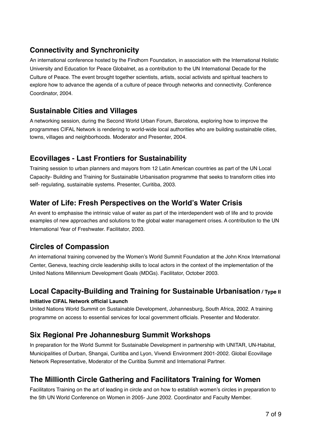#### **Connectivity and Synchronicity**

An international conference hosted by the Findhorn Foundation, in association with the International Holistic University and Education for Peace Globalnet, as a contribution to the UN International Decade for the Culture of Peace. The event brought together scientists, artists, social activists and spiritual teachers to explore how to advance the agenda of a culture of peace through networks and connectivity. Conference Coordinator, 2004.

#### **Sustainable Cities and Villages**

A networking session, during the Second World Urban Forum, Barcelona, exploring how to improve the programmes CIFAL Network is rendering to world-wide local authorities who are building sustainable cities, towns, villages and neighborhoods. Moderator and Presenter, 2004.

#### **Ecovillages - Last Frontiers for Sustainability**

Training session to urban planners and mayors from 12 Latin American countries as part of the UN Local Capacity- Building and Training for Sustainable Urbanisation programme that seeks to transform cities into self- regulating, sustainable systems. Presenter, Curitiba, 2003.

#### **Water of Life: Fresh Perspectives on the World's Water Crisis**

An event to emphasise the intrinsic value of water as part of the interdependent web of life and to provide examples of new approaches and solutions to the global water management crises. A contribution to the UN International Year of Freshwater. Facilitator, 2003.

#### **Circles of Compassion**

An international training convened by the Women's World Summit Foundation at the John Knox International Center, Geneva, teaching circle leadership skills to local actors in the context of the implementation of the United Nations Millennium Development Goals (MDGs). Facilitator, October 2003.

#### **Local Capacity-Building and Training for Sustainable Urbanisation / Type II**

#### **Initiative CIFAL Network official Launch**

United Nations World Summit on Sustainable Development, Johannesburg, South Africa, 2002. A training programme on access to essential services for local government officials. Presenter and Moderator.

#### **Six Regional Pre Johannesburg Summit Workshops**

In preparation for the World Summit for Sustainable Development in partnership with UNITAR, UN-Habitat, Municipalities of Durban, Shangai, Curitiba and Lyon, Vivendi Environment 2001-2002. Global Ecovillage Network Representative, Moderator of the Curitiba Summit and International Partner.

#### **The Millionth Circle Gathering and Facilitators Training for Women**

Facilitators Training on the art of leading in circle and on how to establish women's circles in preparation to the 5th UN World Conference on Women in 2005- June 2002. Coordinator and Faculty Member.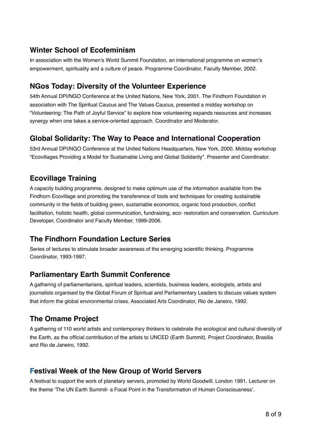#### **Winter School of Ecofeminism**

In association with the Women's World Summit Foundation, an international programme on women's empowerment, spirituality and a culture of peace. Programme Coordinator, Faculty Member, 2002.

#### **NGos Today: Diversity of the Volunteer Experience**

54th Annual DPI/NGO Conference at the United Nations, New York, 2001. The Findhorn Foundation in association with The Spiritual Caucus and The Values Caucus, presented a midday workshop on "Volunteering: The Path of Joyful Service" to explore how volunteering expands resources and increases synergy when one takes a service-oriented approach. Coordinator and Moderator.

#### **Global Solidarity: The Way to Peace and International Cooperation**

53rd Annual DPI/NGO Conference at the United Nations Headquarters, New York, 2000. Midday workshop "Ecovillages Providing a Model for Sustainable Living and Global Solidarity". Presenter and Coordinator.

#### **Ecovillage Training**

A capacity building programme, designed to make optimum use of the information available from the Findhorn Ecovillage and promoting the transference of tools and techniques for creating sustainable community in the fields of building green, sustainable economics, organic food production, conflict facilitation, holistic health, global communication, fundraising, eco- restoration and conservation. Curriculum Developer, Coordinator and Faculty Member, 1999-2006.

#### **The Findhorn Foundation Lecture Series**

Series of lectures to stimulate broader awareness of the emerging scientific thinking. Programme Coordinator, 1993-1997.

#### **Parliamentary Earth Summit Conference**

A gathering of parliamentarians, spiritual leaders, scientists, business leaders, ecologists, artists and journalists organised by the Global Forum of Spiritual and Parliamentary Leaders to discuss values system that inform the global environmental crises. Associated Arts Coordinator, Rio de Janeiro, 1992.

#### **The Omame Project**

A gathering of 110 world artists and contemporary thinkers to celebrate the ecological and cultural diversity of the Earth, as the official contribution of the artists to UNCED (Earth Summit). Project Coordinator, Brasilia and Rio de Janeiro, 1992.

#### **Festival Week of the New Group of World Servers**

A festival to support the work of planetary servers, promoted by World Goodwill. London 1991. Lecturer on the theme 'The UN Earth Summit- a Focal Point in the Transformation of Human Consciousness'.